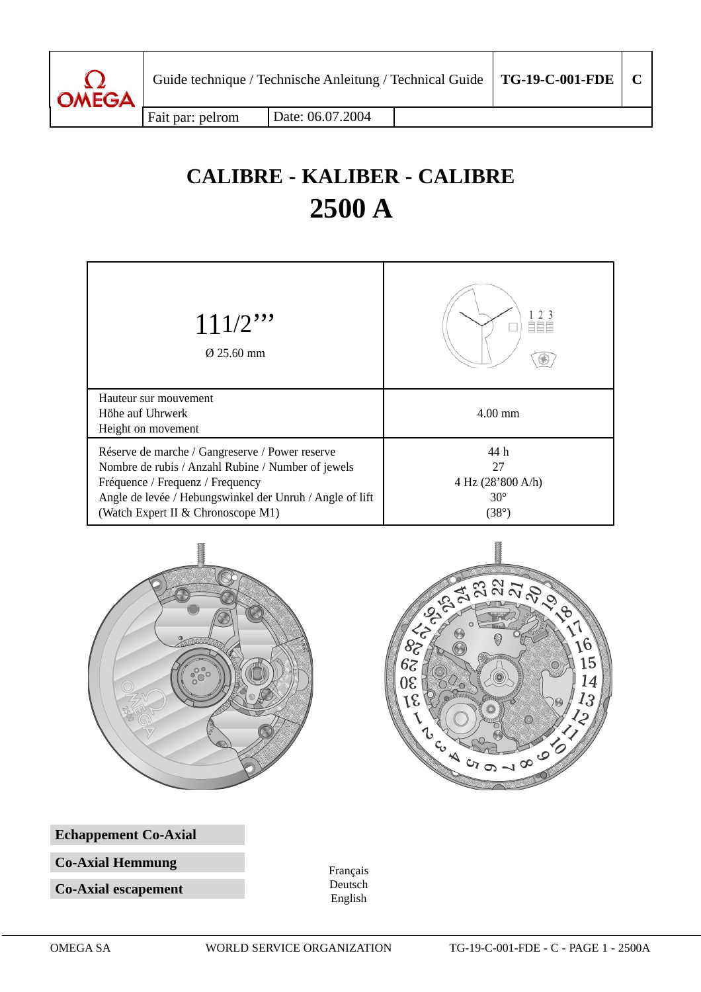

Fait par: pelrom | Date: 06.07.2004

# **CALIBRE - KALIBER - CALIBRE 2500 A**







**Echappement Co-Axial**

**Co-Axial Hemmung**

**Co-Axial escapement**

Français Deutsch English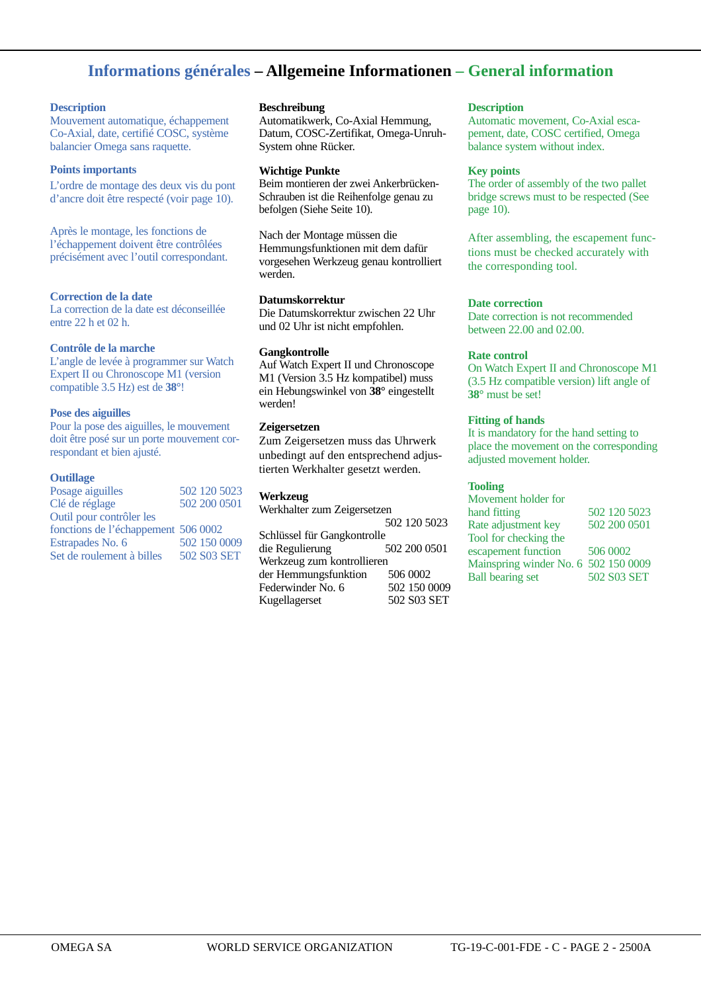## **Informations générales – Allgemeine Informationen – General information**

#### **Description**

Mouvement automatique, échappement Co-Axial, date, certifié COSC, système balancier Omega sans raquette.

#### **Points importants**

L'ordre de montage des deux vis du pont d'ancre doit être respecté (voir page 10).

Après le montage, les fonctions de l'échappement doivent être contrôlées précisément avec l'outil correspondant.

#### **Correction de la date**

La correction de la date est déconseillée entre 22 h et 02 h.

#### **Contrôle de la marche**

L'angle de levée à programmer sur Watch Expert II ou Chronoscope M1 (version compatible 3.5 Hz) est de **38°**!

#### **Pose des aiguilles**

Pour la pose des aiguilles, le mouvement doit être posé sur un porte mouvement correspondant et bien ajusté.

#### **Outillage**

| Posage aiguilles                    | 502 120 5023 |
|-------------------------------------|--------------|
| Clé de réglage                      | 502 200 0501 |
| Outil pour contrôler les            |              |
| fonctions de l'échappement 506 0002 |              |
| Estrapades No. 6                    | 502 150 0009 |
| Set de roulement à billes           | 502 S03 SET  |
|                                     |              |

#### **Beschreibung**

Automatikwerk, Co-Axial Hemmung, Datum, COSC-Zertifikat, Omega-Unruh-System ohne Rücker.

#### **Wichtige Punkte**

Beim montieren der zwei Ankerbrücken-Schrauben ist die Reihenfolge genau zu befolgen (Siehe Seite 10).

Nach der Montage müssen die Hemmungsfunktionen mit dem dafür vorgesehen Werkzeug genau kontrolliert werden.

#### **Datumskorrektur**

Die Datumskorrektur zwischen 22 Uhr und 02 Uhr ist nicht empfohlen.

#### **Gangkontrolle**

Auf Watch Expert II und Chronoscope M1 (Version 3.5 Hz kompatibel) muss ein Hebungswinkel von **38°** eingestellt werden!

#### **Zeigersetzen**

Zum Zeigersetzen muss das Uhrwerk unbedingt auf den entsprechend adjustierten Werkhalter gesetzt werden.

#### **Werkzeug**

Werkhalter zum Zeigersetzen 502 120 5023 Schlüssel für Gangkontrolle<br>die Regulierung 502 200 0501 die Regulierung Werkzeug zum kontrollieren der Hemmungsfunktion 506 0002<br>Federwinder No. 6 502 150 0009 Federwinder No. 6 502 150 0009<br>Kugellagerset 502 S03 SET Kugellagerset

#### **Description**

Automatic movement, Co-Axial escapement, date, COSC certified, Omega balance system without index.

#### **Key points**

The order of assembly of the two pallet bridge screws must to be respected (See page 10).

After assembling, the escapement functions must be checked accurately with the corresponding tool.

#### **Date correction**

Date correction is not recommended between 22.00 and 02.00.

#### **Rate control**

On Watch Expert II and Chronoscope M1 (3.5 Hz compatible version) lift angle of **38°** must be set!

#### **Fitting of hands**

It is mandatory for the hand setting to place the movement on the corresponding adjusted movement holder.

#### **Tooling**

| Movement holder for                  |              |
|--------------------------------------|--------------|
| hand fitting                         | 502 120 5023 |
| Rate adjustment key                  | 502 200 0501 |
| Tool for checking the                |              |
| escapement function                  | 506 0002     |
| Mainspring winder No. 6 502 150 0009 |              |
| <b>Ball bearing set</b>              | 502 S03 SET  |
|                                      |              |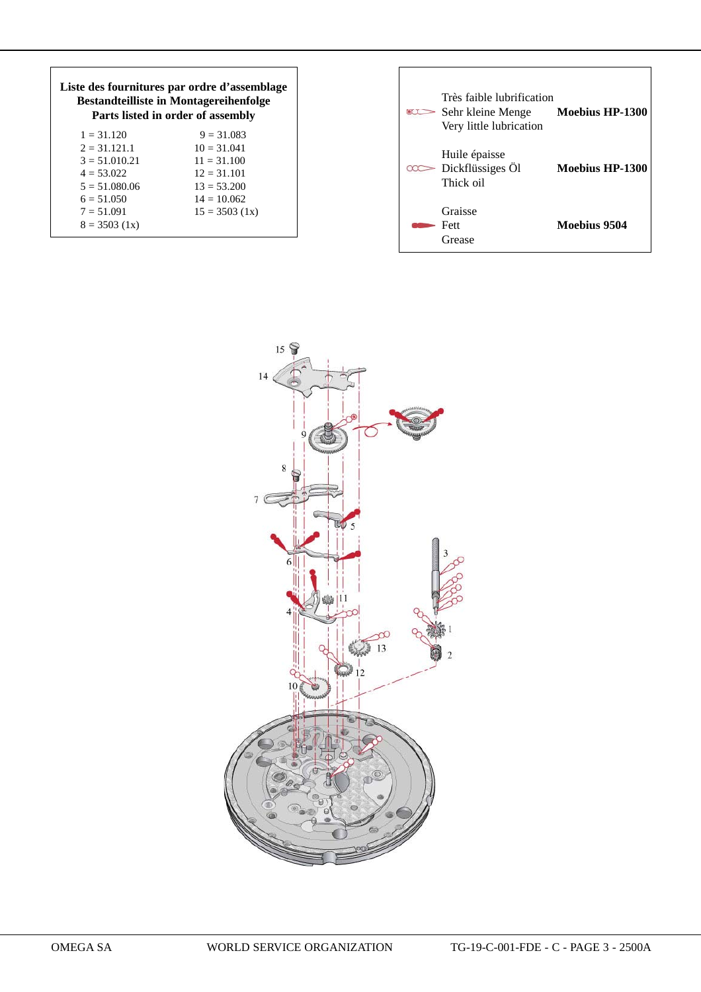| Liste des fournitures par ordre d'assemblage<br><b>Bestandteilliste in Montagereihenfolge</b><br>Parts listed in order of assembly |                  |  |  |
|------------------------------------------------------------------------------------------------------------------------------------|------------------|--|--|
| $1 = 31.120$                                                                                                                       | $9 = 31.083$     |  |  |
| $2 = 31.121.1$                                                                                                                     | $10 = 31.041$    |  |  |
| $3 = 51.010.21$                                                                                                                    | $11 = 31.100$    |  |  |
| $4 = 53.022$                                                                                                                       | $12 = 31.101$    |  |  |
| $5 = 51.080.06$                                                                                                                    | $13 = 53.200$    |  |  |
| $6 = 51.050$                                                                                                                       | $14 = 10.062$    |  |  |
| $7 = 51.091$                                                                                                                       | $15 = 3503$ (1x) |  |  |
| $8 = 3503(1x)$                                                                                                                     |                  |  |  |

| $\infty$ | Très faible lubrification<br>Sehr kleine Menge Moebius HP-1300<br>Very little lubrication |                 |  |
|----------|-------------------------------------------------------------------------------------------|-----------------|--|
|          | Huile épaisse<br>Dickflüssiges Öl<br>Thick oil                                            | Moebius HP-1300 |  |
|          | Graisse<br>Fett<br>Grease                                                                 | Moebius 9504    |  |

ī

 $\overline{\Gamma}$ 

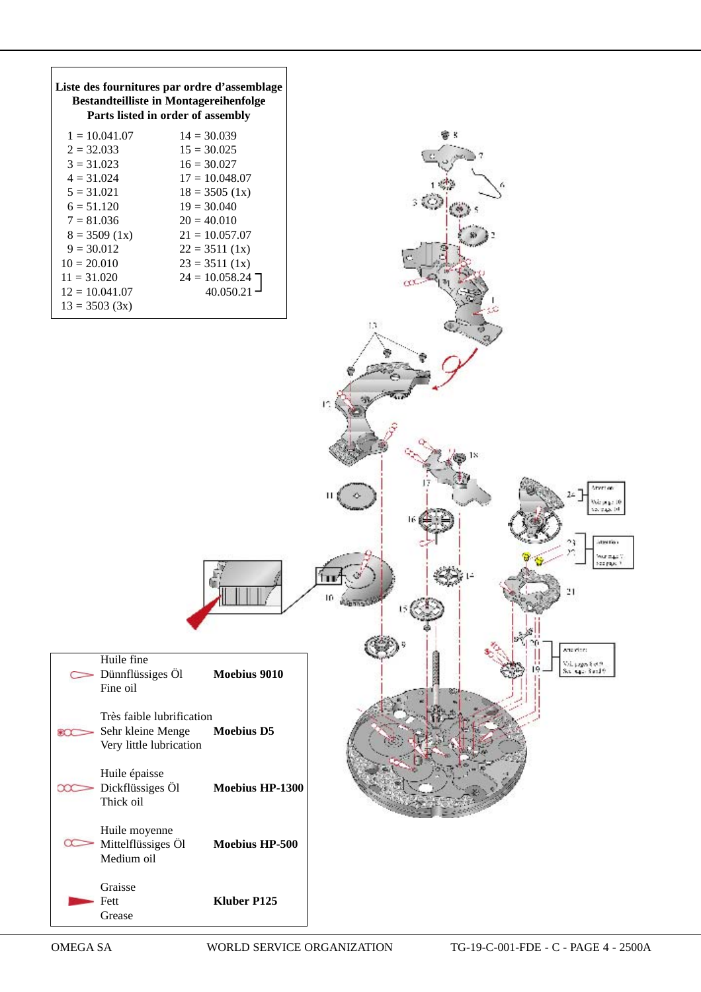| Liste des fournitures par ordre d'assemblage<br><b>Bestandteilliste in Montagereihenfolge</b><br>Parts listed in order of assembly                                                                                                                                                                                                                         |                                               |
|------------------------------------------------------------------------------------------------------------------------------------------------------------------------------------------------------------------------------------------------------------------------------------------------------------------------------------------------------------|-----------------------------------------------|
| $1 = 10.041.07$<br>$14 = 30.039$<br>$2 = 32.033$<br>$15 = 30.025$<br>$3 = 31.023$<br>$16 = 30.027$<br>$17 = 10.048.07$<br>$4 = 31.024$<br>$5 = 31.021$<br>$18 = 3505$ (1x)<br>$6 = 51.120$<br>$19 = 30.040$<br>$7 = 81.036$<br>$20 = 40.010$<br>$8 = 3509$ (1x)<br>$21 = 10.057.07$<br>$9 = 30.012$<br>$22 = 3511(1x)$<br>$10 = 20.010$<br>$23 = 3511(1x)$ |                                               |
| $24 = 10.058.24$<br>$11 = 31.020$<br>$40.050.21$ <sup>-1</sup><br>$12 = 10.041.07$<br>$13 = 3503$ (3x)                                                                                                                                                                                                                                                     | 13                                            |
|                                                                                                                                                                                                                                                                                                                                                            | I٩                                            |
|                                                                                                                                                                                                                                                                                                                                                            | Arvet on<br>Nois pages<br>12. TAX 11          |
|                                                                                                                                                                                                                                                                                                                                                            | attention<br>August 2<br>se payer             |
| Huile fine<br>Dünnflüssiges Öl<br>Moebius 9010<br>Fine oil                                                                                                                                                                                                                                                                                                 | steriore<br>Val juga Seta<br>Sal siya Setil 9 |
| Très faible lubrification<br><b>Moebius D5</b><br>Sehr kleine Menge<br>⊛Ω<br>Very little lubrication                                                                                                                                                                                                                                                       |                                               |
| Huile épaisse<br>Dickflüssiges Öl<br>Moebius HP-1300<br>œ<br>Thick oil                                                                                                                                                                                                                                                                                     |                                               |
| Huile moyenne<br>Mittelflüssiges Öl<br>Moebius HP-500<br>Medium oil                                                                                                                                                                                                                                                                                        |                                               |
| Graisse<br>Fett<br>Kluber P125<br>Grease                                                                                                                                                                                                                                                                                                                   |                                               |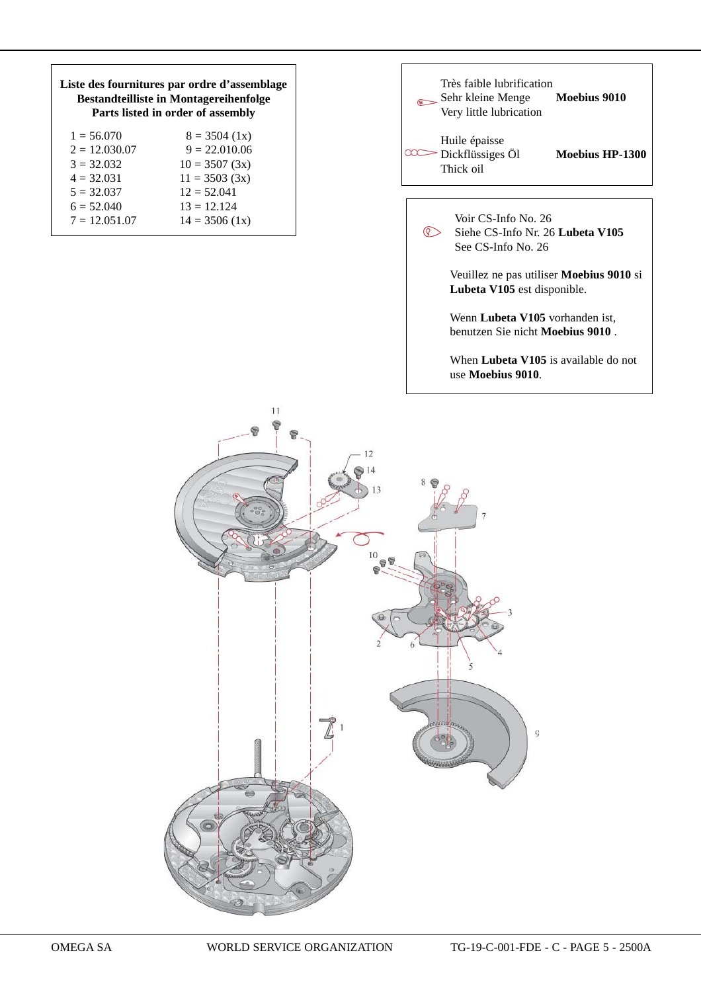| Liste des fournitures par ordre d'assemblage<br><b>Bestandteilliste in Montagereihenfolge</b><br>Parts listed in order of assembly |                  |  |  |
|------------------------------------------------------------------------------------------------------------------------------------|------------------|--|--|
| $1 = 56.070$                                                                                                                       | $8 = 3504$ (1x)  |  |  |
| $2 = 12.030.07$                                                                                                                    | $9 = 22.010.06$  |  |  |
| $3 = 32.032$                                                                                                                       | $10 = 3507(3x)$  |  |  |
| $4 = 32.031$                                                                                                                       | $11 = 3503(3x)$  |  |  |
| $5 = 32.037$                                                                                                                       | $12 = 52.041$    |  |  |
| $6 = 52.040$                                                                                                                       | $13 = 12.124$    |  |  |
| $7 = 12.051.07$                                                                                                                    | $14 = 3506$ (1x) |  |  |
|                                                                                                                                    |                  |  |  |



See CS-Info No. 26

 Veuillez ne pas utiliser **Moebius 9010** si **Lubeta V105** est disponible.

 Wenn **Lubeta V105** vorhanden ist, benutzen Sie nicht **Moebius 9010** .

 When **Lubeta V105** is available do not use **Moebius 9010**.

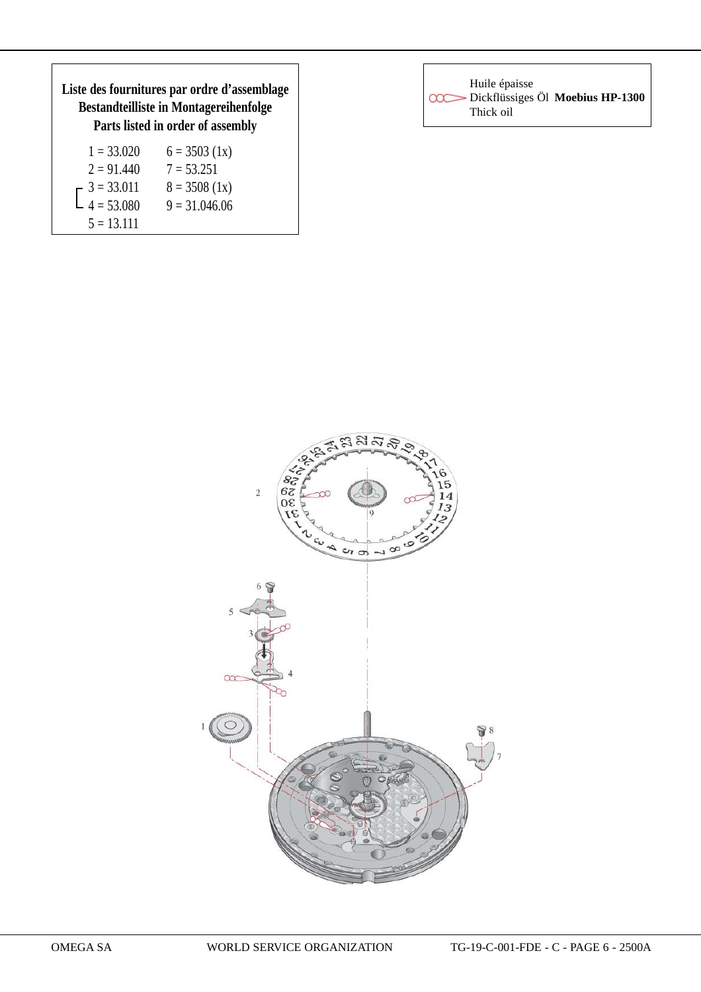| Liste des fournitures par ordre d'assemblage<br><b>Bestandteilliste in Montagereihenfolge</b><br>Parts listed in order of assembly |                 |  |  |
|------------------------------------------------------------------------------------------------------------------------------------|-----------------|--|--|
| $1 = 33.020$                                                                                                                       | $6 = 3503$ (1x) |  |  |
| $2 = 91.440$                                                                                                                       | $7 = 53.251$    |  |  |
| $\begin{bmatrix} 3 = 33.011 \\ 4 = 53.080 \end{bmatrix}$                                                                           | $8 = 3508$ (1x) |  |  |
|                                                                                                                                    | $9 = 31.046.06$ |  |  |

 $5 = 13.111$ 

| Huile épaisse<br><b>COC</b> Dickflüssiges Öl Moebius HP-1300<br>Thick oil |  |
|---------------------------------------------------------------------------|--|
|---------------------------------------------------------------------------|--|

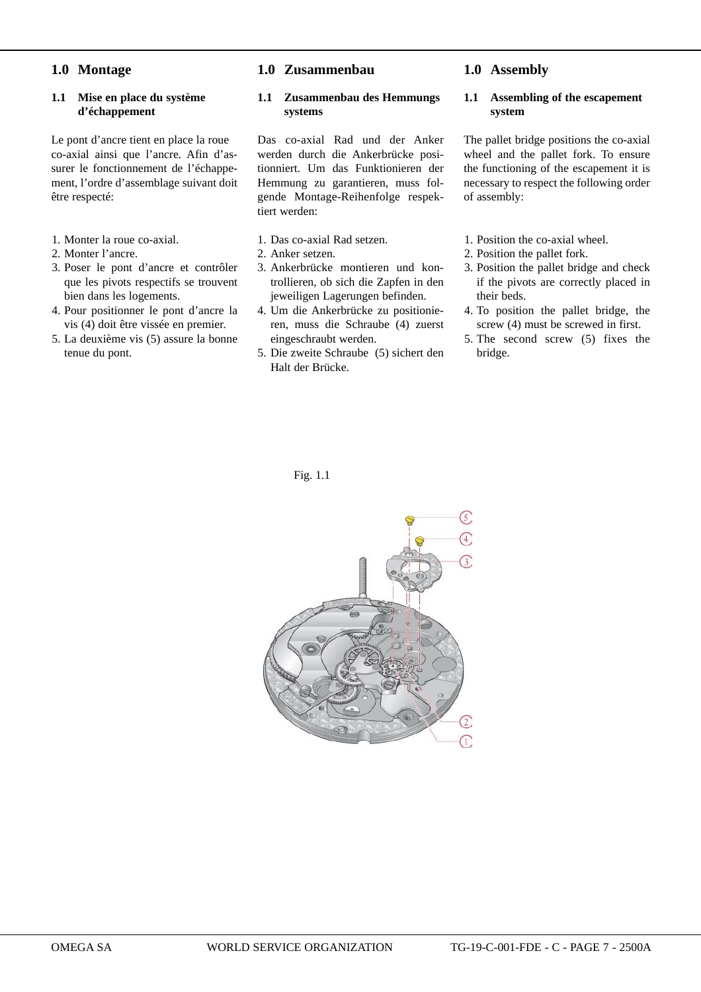## **1.0 Montage**

#### **1.1 Mise en place du système d'échappement**

Le pont d'ancre tient en place la roue co-axial ainsi que l'ancre. Afin d'assurer le fonctionnement de l'échappement, l'ordre d'assemblage suivant doit être respecté:

- 1. Monter la roue co-axial.
- 2. Monter l'ancre.
- 3. Poser le pont d'ancre et contrôler que les pivots respectifs se trouvent bien dans les logements.
- 4. Pour positionner le pont d'ancre la vis (4) doit être vissée en premier.
- 5. La deuxième vis (5) assure la bonne tenue du pont.

#### **1.0 Zusammenbau**

#### **1.1 Zusammenbau des Hemmungs systems**

Das co-axial Rad und der Anker werden durch die Ankerbrücke positionniert. Um das Funktionieren der Hemmung zu garantieren, muss folgende Montage-Reihenfolge respektiert werden:

- 1. Das co-axial Rad setzen.
- 2. Anker setzen.
- 3. Ankerbrücke montieren und kontrollieren, ob sich die Zapfen in den jeweiligen Lagerungen befinden.
- 4. Um die Ankerbrücke zu positionieren, muss die Schraube (4) zuerst eingeschraubt werden.
- 5. Die zweite Schraube (5) sichert den Halt der Brücke.

#### Fig. 1.1



## **1.0 Assembly**

#### **1.1 Assembling of the escapement system**

The pallet bridge positions the co-axial wheel and the pallet fork. To ensure the functioning of the escapement it is necessary to respect the following order of assembly:

- 1. Position the co-axial wheel.
- 2. Position the pallet fork.
- 3. Position the pallet bridge and check if the pivots are correctly placed in their beds.
- 4. To position the pallet bridge, the screw (4) must be screwed in first.
- 5. The second screw (5) fixes the bridge.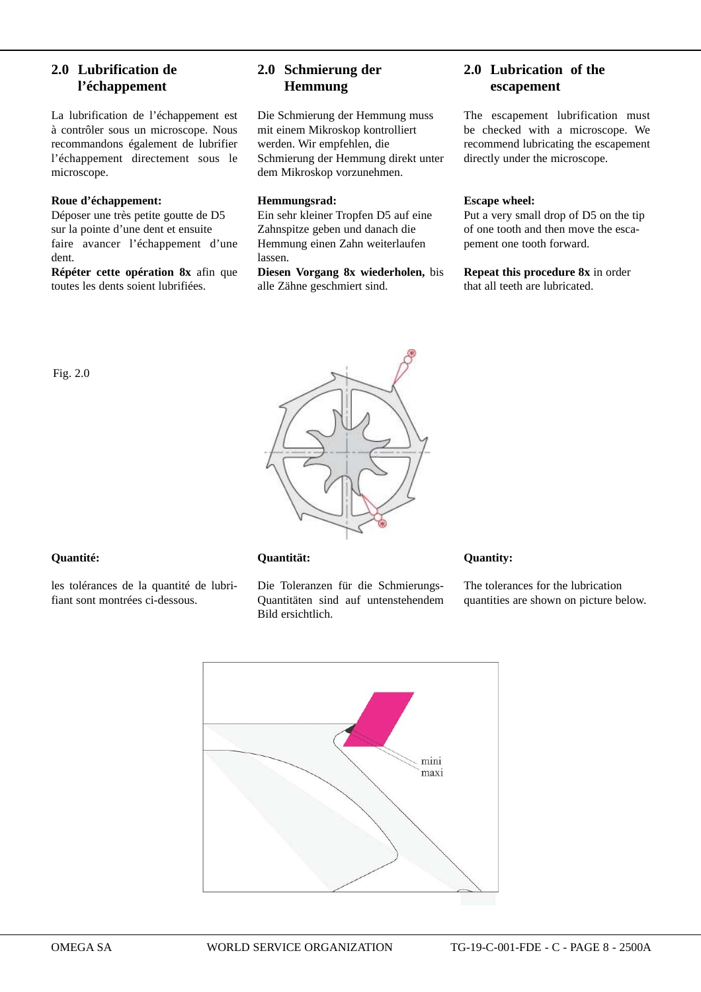## **2.0 Lubrification de l'échappement**

La lubrification de l'échappement est à contrôler sous un microscope. Nous recommandons également de lubrifier l'échappement directement sous le microscope.

#### **Roue d'échappement:**

Déposer une très petite goutte de D5 sur la pointe d'une dent et ensuite faire avancer l'échappement d'une dent.

**Répéter cette opération 8x** afin que toutes les dents soient lubrifiées.

## **2.0 Schmierung der Hemmung**

Die Schmierung der Hemmung muss mit einem Mikroskop kontrolliert werden. Wir empfehlen, die Schmierung der Hemmung direkt unter dem Mikroskop vorzunehmen.

#### **Hemmungsrad:**

Ein sehr kleiner Tropfen D5 auf eine Zahnspitze geben und danach die Hemmung einen Zahn weiterlaufen lassen.

**Diesen Vorgang 8x wiederholen,** bis alle Zähne geschmiert sind.

## **2.0 Lubrication of the escapement**

The escapement lubrification must be checked with a microscope. We recommend lubricating the escapement directly under the microscope.

#### **Escape wheel:**

Put a very small drop of D5 on the tip of one tooth and then move the escapement one tooth forward.

**Repeat this procedure 8x** in order that all teeth are lubricated.



#### **Quantité:**

Fig. 2.0

les tolérances de la quantité de lubrifiant sont montrées ci-dessous.

#### **Quantität:**

Die Toleranzen für die Schmierungs-Quantitäten sind auf untenstehendem Bild ersichtlich.

#### **Quantity:**

The tolerances for the lubrication quantities are shown on picture below.

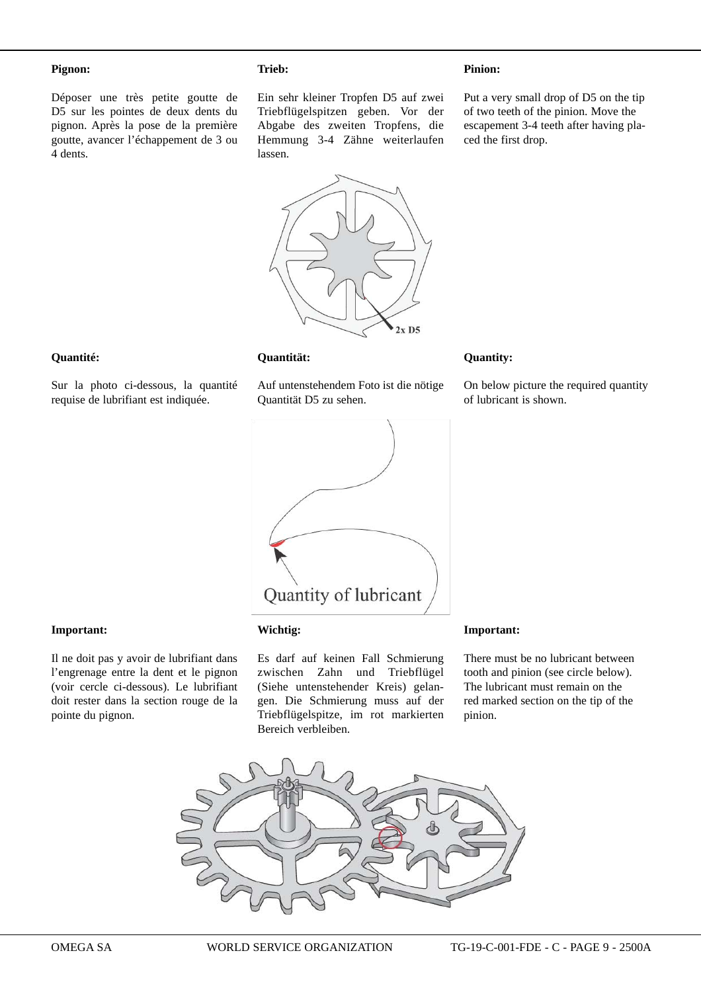#### **Pignon:**

Déposer une très petite goutte de D5 sur les pointes de deux dents du pignon. Après la pose de la première goutte, avancer l'échappement de 3 ou 4 dents.

#### **Trieb:**

Ein sehr kleiner Tropfen D5 auf zwei Triebflügelspitzen geben. Vor der Abgabe des zweiten Tropfens, die Hemmung 3-4 Zähne weiterlaufen lassen.

Put a very small drop of D5 on the tip of two teeth of the pinion. Move the escapement 3-4 teeth after having placed the first drop.

On below picture the required quantity

**Pinion:**



#### **Quantité:**

Sur la photo ci-dessous, la quantité requise de lubrifiant est indiquée.

#### **Quantität:**

Auf untenstehendem Foto ist die nötige Quantität D5 zu sehen.



#### **Important:**

Il ne doit pas y avoir de lubrifiant dans l'engrenage entre la dent et le pignon (voir cercle ci-dessous). Le lubrifiant doit rester dans la section rouge de la pointe du pignon.

#### **Wichtig:**

Es darf auf keinen Fall Schmierung zwischen Zahn und Triebflügel (Siehe untenstehender Kreis) gelangen. Die Schmierung muss auf der Triebflügelspitze, im rot markierten Bereich verbleiben.

#### **Important:**

**Quantity:**

of lubricant is shown.

There must be no lubricant between tooth and pinion (see circle below). The lubricant must remain on the red marked section on the tip of the pinion.

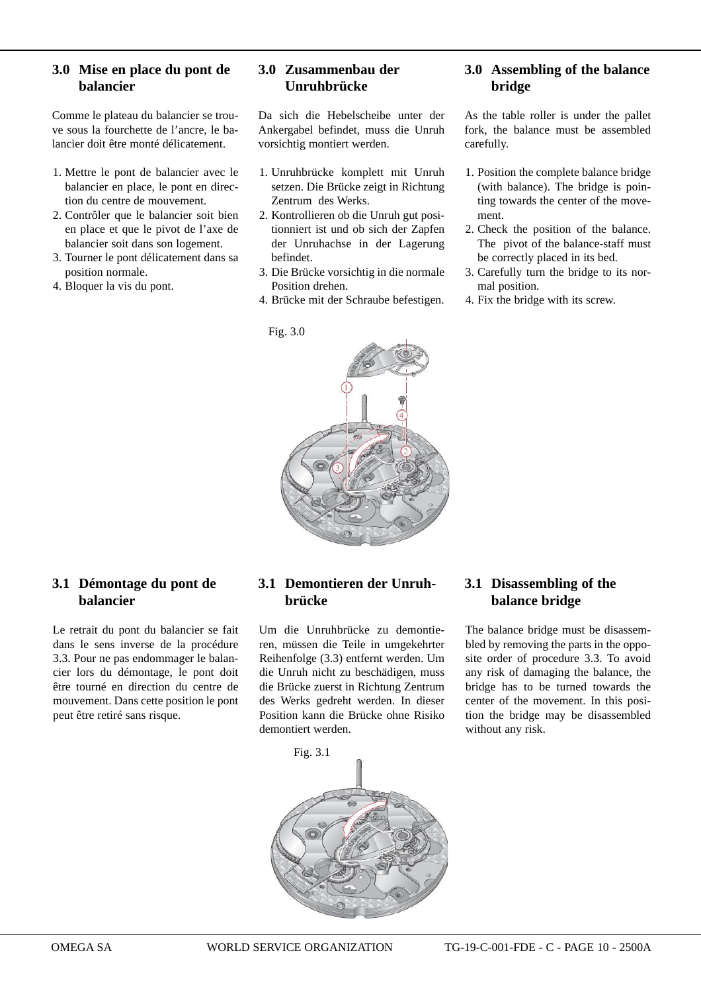## **3.0 Mise en place du pont de balancier**

Comme le plateau du balancier se trouve sous la fourchette de l'ancre, le balancier doit être monté délicatement.

- 1. Mettre le pont de balancier avec le balancier en place, le pont en direction du centre de mouvement.
- 2. Contrôler que le balancier soit bien en place et que le pivot de l'axe de balancier soit dans son logement.
- 3. Tourner le pont délicatement dans sa position normale.
- 4. Bloquer la vis du pont.

## **3.0 Zusammenbau der Unruhbrücke**

Da sich die Hebelscheibe unter der Ankergabel befindet, muss die Unruh vorsichtig montiert werden.

- 1. Unruhbrücke komplett mit Unruh setzen. Die Brücke zeigt in Richtung Zentrum des Werks.
- 2. Kontrollieren ob die Unruh gut positionniert ist und ob sich der Zapfen der Unruhachse in der Lagerung befindet.
- 3. Die Brücke vorsichtig in die normale Position drehen.
- 4. Brücke mit der Schraube befestigen.

Fig. 3.0

## **3.0 Assembling of the balance bridge**

As the table roller is under the pallet fork, the balance must be assembled carefully.

- 1. Position the complete balance bridge (with balance). The bridge is pointing towards the center of the movement.
- 2. Check the position of the balance. The pivot of the balance-staff must be correctly placed in its bed.
- 3. Carefully turn the bridge to its normal position.
- 4. Fix the bridge with its screw.

## **3.1 Démontage du pont de balancier**

Le retrait du pont du balancier se fait dans le sens inverse de la procédure 3.3. Pour ne pas endommager le balancier lors du démontage, le pont doit être tourné en direction du centre de mouvement. Dans cette position le pont peut être retiré sans risque.

## **3.1 Demontieren der Unruh brücke**

Um die Unruhbrücke zu demontieren, müssen die Teile in umgekehrter Reihenfolge (3.3) entfernt werden. Um die Unruh nicht zu beschädigen, muss die Brücke zuerst in Richtung Zentrum des Werks gedreht werden. In dieser Position kann die Brücke ohne Risiko demontiert werden.

## **3.1 Disassembling of the balance bridge**

The balance bridge must be disassembled by removing the parts in the opposite order of procedure 3.3. To avoid any risk of damaging the balance, the bridge has to be turned towards the center of the movement. In this position the bridge may be disassembled without any risk.

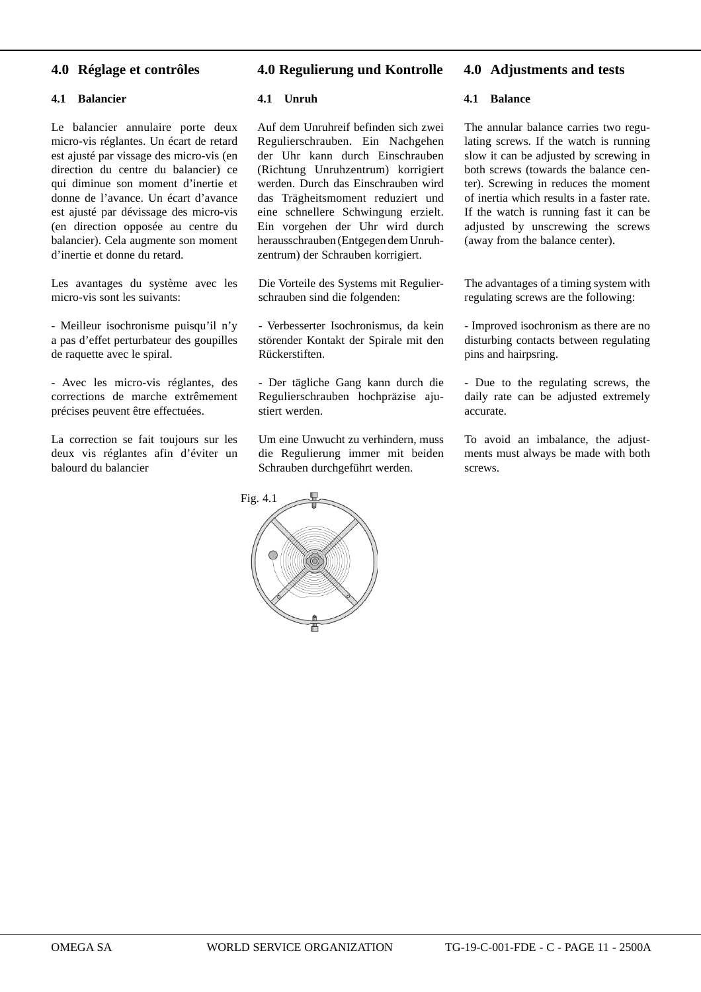## **4.0 Réglage et contrôles**

#### **4.1 Balancier**

Le balancier annulaire porte deux micro-vis réglantes. Un écart de retard est ajusté par vissage des micro-vis (en direction du centre du balancier) ce qui diminue son moment d'inertie et donne de l'avance. Un écart d'avance est ajusté par dévissage des micro-vis (en direction oppo sée au centre du balancier). Cela augmente son moment d'inertie et donne du retard.

Les avantages du système avec les micro-vis sont les suivants:

- Meilleur isochronisme puisqu'il n'y a pas d'effet perturbateur des goupilles de raquette avec le spiral.

- Avec les micro-vis réglantes, des corrections de marche extrêmement précises peuvent être effectuées.

La correction se fait toujours sur les deux vis réglantes afin d'éviter un balourd du balancier

## **4.0 Regulierung und Kontrolle**

#### **4.1 Unruh**

Auf dem Unruhreif befinden sich zwei Regulierschrauben. Ein Nachgehen der Uhr kann durch Einschrauben (Richtung Unruhzentrum) korrigiert werden. Durch das Einschrauben wird das Trägheitsmoment reduziert und eine schnellere Schwingung erzielt. Ein vorgehen der Uhr wird durch herausschrauben (Entgegen dem Unruhzentrum) der Schrauben korrigiert.

Die Vorteile des Systems mit Regulierschrauben sind die folgenden:

- Verbesserter Isochronismus, da kein störender Kontakt der Spirale mit den Rückerstiften.

- Der tägliche Gang kann durch die Regulierschrauben hochpräzise ajustiert werden.

Um eine Unwucht zu verhindern, muss die Regulierung immer mit beiden Schrauben durchgeführt werden.



#### **4.0 Adjustments and tests**

#### **4.1 Balance**

The annular balance carries two regulating screws. If the watch is running slow it can be adjusted by screwing in both screws (towards the balance center). Screwing in reduces the moment of inertia which results in a faster rate. If the watch is running fast it can be adjusted by unscrewing the screws (away from the balance center).

The advantages of a timing system with regulating screws are the following:

- Improved isochronism as there are no disturbing contacts between regulating pins and hairpsring.

- Due to the regulating screws, the daily rate can be adjusted extremely accurate.

To avoid an imbalance, the adjustments must always be made with both screws.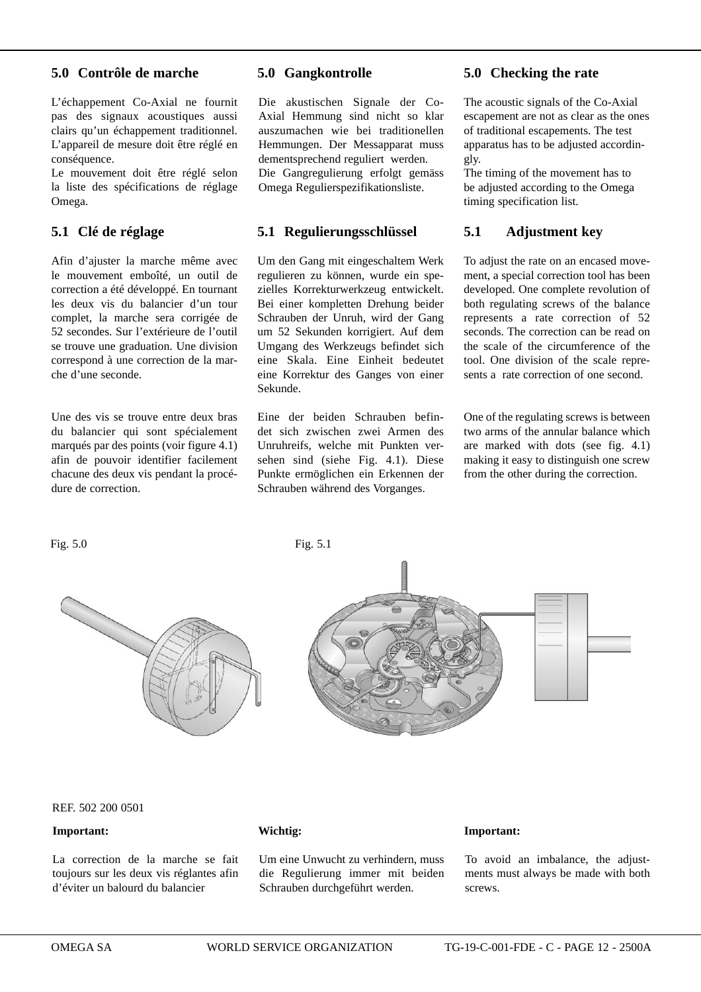## **5.0 Contrôle de marche**

L'échappement Co-Axial ne fournit pas des signaux acoustiques aussi clairs qu'un échappement traditionnel. L'appareil de mesure doit être réglé en conséquence.

Le mouvement doit être réglé selon la liste des spécifications de réglage Omega.

#### **5.1 Clé de réglage**

Afin d'ajuster la marche même avec le mouvement emboîté, un outil de correction a été développé. En tournant les deux vis du balancier d'un tour complet, la marche sera corrigée de 52 secondes. Sur l'extérieure de l'outil se trouve une graduation. Une division correspond à une correction de la marche d'une seconde.

Une des vis se trouve entre deux bras du balancier qui sont spécialement marqués par des points (voir figure 4.1) afin de pouvoir identifier facilement chacune des deux vis pendant la procédure de correction.

#### **5.0 Gangkontrolle**

Die akustischen Signale der Co-Axial Hemmung sind nicht so klar auszumachen wie bei traditionellen Hemmungen. Der Messapparat muss dementsprechend reguliert werden. Die Gangregulierung erfolgt gemäss Omega Regulierspezifikationsliste.

#### **5.1 Regulierungsschlüssel**

Um den Gang mit eingeschaltem Werk regulieren zu können, wurde ein spezielles Korrekturwerkzeug entwickelt. Bei einer kompletten Drehung beider Schrauben der Unruh, wird der Gang um 52 Sekunden korrigiert. Auf dem Umgang des Werkzeugs befindet sich eine Skala. Eine Einheit bedeutet eine Korrektur des Ganges von einer Sekunde.

Eine der beiden Schrauben befindet sich zwischen zwei Armen des Unruhreifs, welche mit Punkten versehen sind (siehe Fig. 4.1). Diese Punkte ermöglichen ein Erkennen der Schrauben während des Vorganges.

#### **5.0 Checking the rate**

The acoustic signals of the Co-Axial escapement are not as clear as the ones of traditional escapements. The test apparatus has to be adjusted accordingly.

The timing of the movement has to be adjusted according to the Omega timing specification list.

## **5.1 Adjustment key**

To adjust the rate on an encased movement, a special correction tool has been developed. One complete revolution of both regulating screws of the balance represents a rate correction of 52 seconds. The correction can be read on the scale of the circumference of the tool. One division of the scale represents a rate correction of one second.

One of the regulating screws is between two arms of the annular balance which are marked with dots (see fig. 4.1) making it easy to distinguish one screw from the other during the correction.



Fig. 5.0 Fig. 5.1



REF. 502 200 0501

#### **Important:**

La correction de la marche se fait toujours sur les deux vis réglantes afin d'éviter un balourd du balancier

**Wichtig:**

Um eine Unwucht zu verhindern, muss die Regulierung immer mit beiden Schrauben durchgeführt werden.

#### **Important:**

To avoid an imbalance, the adjustments must always be made with both screws.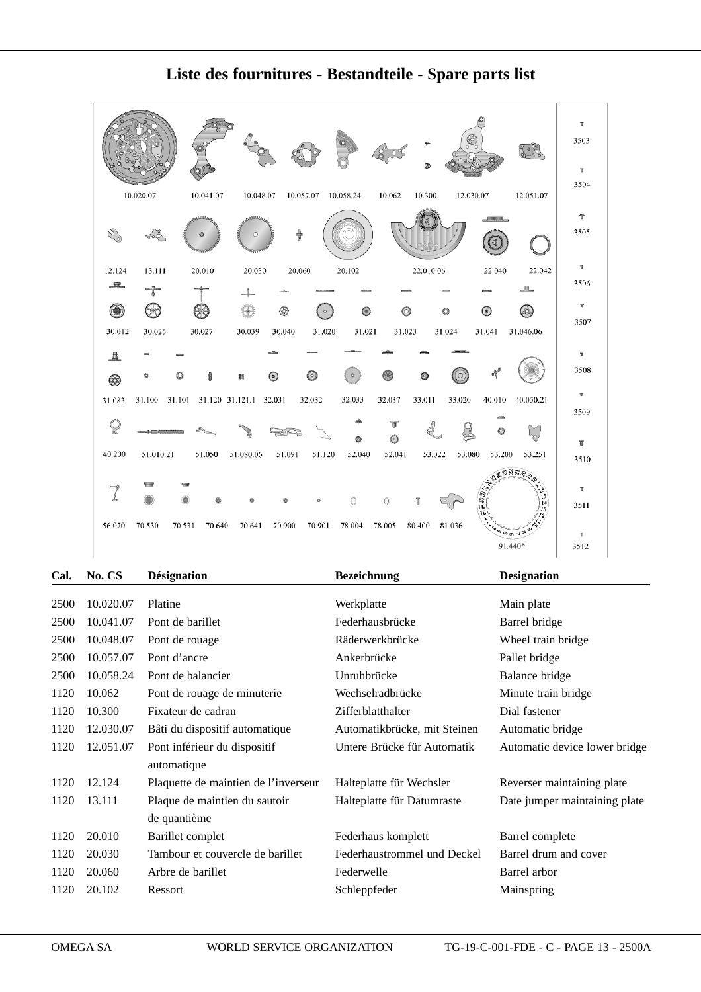|                            |                                              |                                | ۳<br>o.                       |                                        | T<br>3503<br>T<br>3504          |
|----------------------------|----------------------------------------------|--------------------------------|-------------------------------|----------------------------------------|---------------------------------|
| 10.020.07                  | 10.041.07<br>10.048.07                       | 10.057.07 10.058.24            | 12.030.07<br>10.062<br>10.300 | 12.051.07                              |                                 |
|                            | <b>LABARAA</b><br><b>ARABAGEA</b><br>$\circ$ |                                |                               |                                        | $\mathbb T$<br>3505             |
| 13.111<br>12.124           | 20.010<br>20.030                             | 20.102<br>20.060               | 22.010.06                     | 22.040<br>22.042                       | $\mathbb T$                     |
| 一傘                         |                                              |                                |                               | Ш.                                     | 3506                            |
| e.                         |                                              | 63                             | $(\circ)$<br>0<br>٥           | $\circ$<br>♨                           | $\mathbf{v}$                    |
| 30.012<br>30.025           | 30.027<br>30.039                             | 31.020<br>30.040<br>31.021     | 31.023<br>31.024              | 31.041<br>31.046.06                    | 3507                            |
|                            |                                              |                                |                               |                                        |                                 |
| 且<br>◉                     | ś<br>輯                                       | $\circledcirc$<br>柴<br>$\circ$ | ⊛<br>O<br>o                   |                                        | $\overline{\mathbf{u}}$<br>3508 |
| 31.100<br>31.101<br>31.083 | 31.120 31.121.1 32.031                       | 32.033<br>32.032               | 33.011<br>32.037<br>33.020    | 40.010<br>40.050.21                    | ×                               |
|                            |                                              |                                |                               |                                        | 3509                            |
|                            |                                              | ◎                              | 而<br>$\circ$                  |                                        |                                 |
| 40.200<br>51.010.21        | 51.080.06<br>51.050                          | 51.091<br>51.120<br>52.040     | 52.041<br>53.080<br>53.022    | 53.251<br>53.200                       | T<br>3510                       |
|                            |                                              |                                |                               | <b>ZANJRO</b>                          |                                 |
| ╺                          |                                              |                                |                               | ಸ್ಥಾನಿ ಜನಿ<br>ಸ್ಥಾನಿ ಸ್ಥಾನ<br>ıе<br>15 | п                               |
|                            |                                              |                                | Ō<br>π                        | 14<br>13                               | 3511                            |
| 56.070<br>70.530<br>70.531 | 70.640<br>70.641                             | 70.900<br>70.901<br>78.004     | 81.036<br>78.005<br>80.400    | $400 - 90$                             | T.                              |
|                            |                                              |                                |                               | 91.440*                                | 3512                            |

## **Liste des fournitures - Bestandteile - Spare parts list**

| Cal. | No. CS    | <b>Désignation</b>                   | <b>Bezeichnung</b>           | <b>Designation</b>            |
|------|-----------|--------------------------------------|------------------------------|-------------------------------|
|      |           |                                      |                              |                               |
| 2500 | 10.020.07 | Platine                              | Werkplatte                   | Main plate                    |
| 2500 | 10.041.07 | Pont de barillet                     | Federhausbrücke              | Barrel bridge                 |
| 2500 | 10.048.07 | Pont de rouage                       | Räderwerkbrücke              | Wheel train bridge            |
| 2500 | 10.057.07 | Pont d'ancre                         | Ankerbrücke                  | Pallet bridge                 |
| 2500 | 10.058.24 | Pont de balancier                    | Unruhbrücke                  | Balance bridge                |
| 1120 | 10.062    | Pont de rouage de minuterie          | Wechselradbrücke             | Minute train bridge           |
| 1120 | 10.300    | Fixateur de cadran                   | Zifferblatthalter            | Dial fastener                 |
| 1120 | 12.030.07 | Bâti du dispositif automatique       | Automatikbrücke, mit Steinen | Automatic bridge              |
| 1120 | 12.051.07 | Pont inférieur du dispositif         | Untere Brücke für Automatik  | Automatic device lower bridge |
|      |           | automatique                          |                              |                               |
| 1120 | 12.124    | Plaquette de maintien de l'inverseur | Halteplatte für Wechsler     | Reverser maintaining plate    |
| 1120 | 13.111    | Plaque de maintien du sautoir        | Halteplatte für Datumraste   | Date jumper maintaining plate |
|      |           | de quantième                         |                              |                               |
| 1120 | 20.010    | Barillet complet                     | Federhaus komplett           | Barrel complete               |
| 1120 | 20.030    | Tambour et couvercle de barillet     | Federhaustrommel und Deckel  | Barrel drum and cover         |
| 1120 | 20.060    | Arbre de barillet                    | Federwelle                   | Barrel arbor                  |
| 1120 | 20.102    | Ressort                              | Schleppfeder                 | Mainspring                    |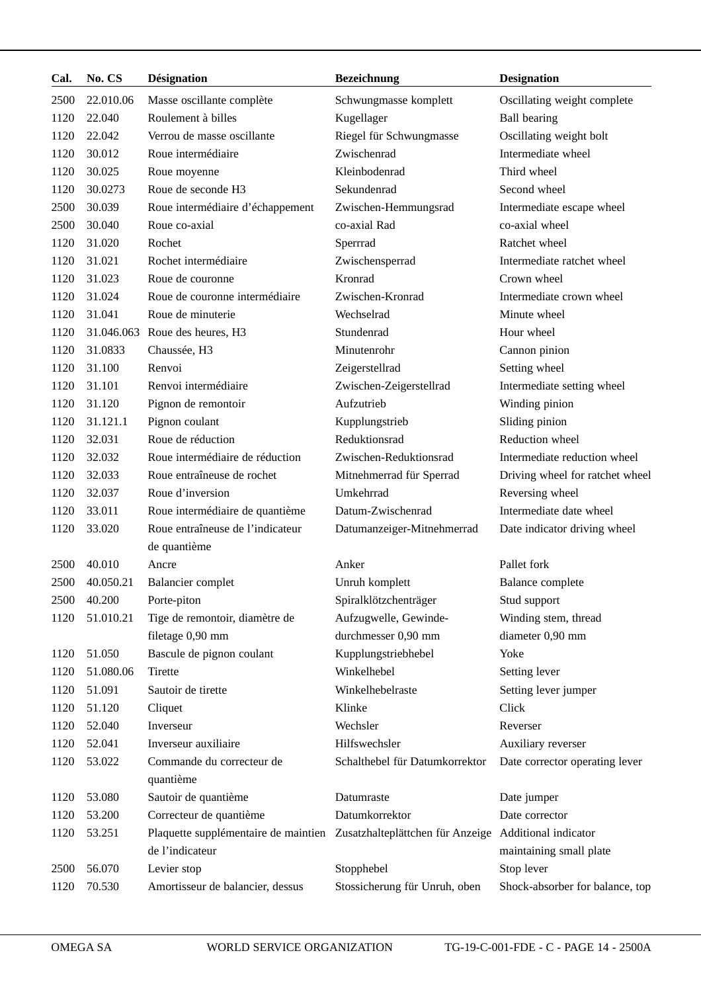| Cal. | No. CS     | <b>Désignation</b>                                                                         | <b>Bezeichnung</b>             | <b>Designation</b>              |
|------|------------|--------------------------------------------------------------------------------------------|--------------------------------|---------------------------------|
| 2500 | 22.010.06  | Masse oscillante complète                                                                  | Schwungmasse komplett          | Oscillating weight complete     |
| 1120 | 22.040     | Roulement à billes<br>Kugellager                                                           |                                | <b>Ball</b> bearing             |
| 1120 | 22.042     | Verrou de masse oscillante                                                                 | Riegel für Schwungmasse        | Oscillating weight bolt         |
| 1120 | 30.012     | Roue intermédiaire                                                                         | Zwischenrad                    | Intermediate wheel              |
| 1120 | 30.025     | Roue moyenne                                                                               | Kleinbodenrad                  | Third wheel                     |
| 1120 | 30.0273    | Roue de seconde H3                                                                         | Sekundenrad                    | Second wheel                    |
| 2500 | 30.039     | Roue intermédiaire d'échappement                                                           | Zwischen-Hemmungsrad           | Intermediate escape wheel       |
| 2500 | 30.040     | Roue co-axial                                                                              | co-axial Rad                   | co-axial wheel                  |
| 1120 | 31.020     | Rochet                                                                                     | Sperrrad                       | Ratchet wheel                   |
| 1120 | 31.021     | Rochet intermédiaire                                                                       | Zwischensperrad                | Intermediate ratchet wheel      |
| 1120 | 31.023     | Roue de couronne                                                                           | Kronrad                        | Crown wheel                     |
| 1120 | 31.024     | Roue de couronne intermédiaire                                                             | Zwischen-Kronrad               | Intermediate crown wheel        |
| 1120 | 31.041     | Roue de minuterie                                                                          | Wechselrad                     | Minute wheel                    |
| 1120 | 31.046.063 | Roue des heures, H3                                                                        | Stundenrad                     | Hour wheel                      |
| 1120 | 31.0833    | Chaussée, H3                                                                               | Minutenrohr                    | Cannon pinion                   |
| 1120 | 31.100     | Renvoi                                                                                     | Zeigerstellrad                 | Setting wheel                   |
| 1120 | 31.101     | Renvoi intermédiaire                                                                       | Zwischen-Zeigerstellrad        | Intermediate setting wheel      |
| 1120 | 31.120     | Pignon de remontoir                                                                        | Aufzutrieb                     | Winding pinion                  |
| 1120 | 31.121.1   | Pignon coulant                                                                             | Kupplungstrieb                 | Sliding pinion                  |
| 1120 | 32.031     | Roue de réduction                                                                          | Reduktionsrad                  | Reduction wheel                 |
| 1120 | 32.032     | Roue intermédiaire de réduction                                                            | Zwischen-Reduktionsrad         | Intermediate reduction wheel    |
| 1120 | 32.033     | Roue entraîneuse de rochet                                                                 | Mitnehmerrad für Sperrad       | Driving wheel for ratchet wheel |
| 1120 | 32.037     | Roue d'inversion                                                                           | Umkehrrad                      | Reversing wheel                 |
| 1120 | 33.011     | Roue intermédiaire de quantième                                                            | Datum-Zwischenrad              | Intermediate date wheel         |
| 1120 | 33.020     | Roue entraîneuse de l'indicateur                                                           | Datumanzeiger-Mitnehmerrad     | Date indicator driving wheel    |
|      |            | de quantième                                                                               |                                |                                 |
| 2500 | 40.010     | Ancre                                                                                      | Anker                          | Pallet fork                     |
| 2500 | 40.050.21  | Balancier complet                                                                          | Unruh komplett                 | Balance complete                |
| 2500 | 40.200     | Porte-piton                                                                                | Spiralklötzchenträger          | Stud support                    |
| 1120 | 51.010.21  | Tige de remontoir, diamètre de                                                             | Aufzugwelle, Gewinde-          | Winding stem, thread            |
|      |            | filetage 0,90 mm                                                                           | durchmesser 0,90 mm            | diameter 0,90 mm                |
| 1120 | 51.050     | Bascule de pignon coulant                                                                  | Kupplungstriebhebel            | Yoke                            |
| 1120 | 51.080.06  | <b>Tirette</b>                                                                             | Winkelhebel                    | Setting lever                   |
| 1120 | 51.091     | Sautoir de tirette                                                                         | Winkelhebelraste               | Setting lever jumper            |
| 1120 | 51.120     | Cliquet                                                                                    | Klinke                         | Click                           |
| 1120 | 52.040     | Inverseur                                                                                  | Wechsler                       | Reverser                        |
| 1120 | 52.041     | Inverseur auxiliaire                                                                       | Hilfswechsler                  | Auxiliary reverser              |
| 1120 | 53.022     | Commande du correcteur de                                                                  | Schalthebel für Datumkorrektor | Date corrector operating lever  |
|      |            | quantième                                                                                  |                                |                                 |
| 1120 | 53.080     | Sautoir de quantième                                                                       | Datumraste                     | Date jumper                     |
| 1120 | 53.200     | Correcteur de quantième                                                                    | Datumkorrektor                 | Date corrector                  |
| 1120 | 53.251     | Plaquette supplémentaire de maintien Zusatzhalteplättchen für Anzeige Additional indicator |                                |                                 |
|      |            | de l'indicateur                                                                            |                                | maintaining small plate         |
| 2500 | 56.070     | Levier stop                                                                                | Stopphebel                     | Stop lever                      |
| 1120 | 70.530     | Amortisseur de balancier, dessus                                                           | Stossicherung für Unruh, oben  | Shock-absorber for balance, top |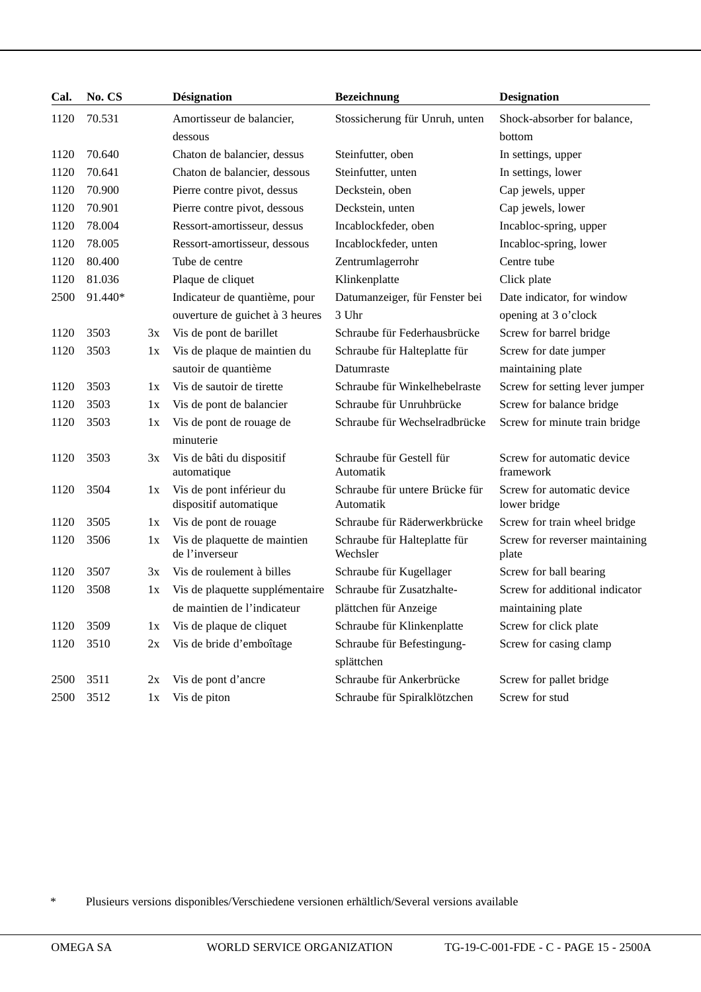| Cal. | No. CS  |    | <b>Désignation</b>                                 | <b>Bezeichnung</b>                          | <b>Designation</b>                         |
|------|---------|----|----------------------------------------------------|---------------------------------------------|--------------------------------------------|
| 1120 | 70.531  |    | Amortisseur de balancier,                          | Stossicherung für Unruh, unten              | Shock-absorber for balance,                |
|      |         |    | dessous                                            |                                             | bottom                                     |
| 1120 | 70.640  |    | Chaton de balancier, dessus                        | Steinfutter, oben                           | In settings, upper                         |
| 1120 | 70.641  |    | Chaton de balancier, dessous                       | Steinfutter, unten                          | In settings, lower                         |
| 1120 | 70.900  |    | Pierre contre pivot, dessus                        | Deckstein, oben                             | Cap jewels, upper                          |
| 1120 | 70.901  |    | Pierre contre pivot, dessous                       | Deckstein, unten                            | Cap jewels, lower                          |
| 1120 | 78.004  |    | Ressort-amortisseur, dessus                        | Incablockfeder, oben                        | Incabloc-spring, upper                     |
| 1120 | 78.005  |    | Ressort-amortisseur, dessous                       | Incablockfeder, unten                       | Incabloc-spring, lower                     |
| 1120 | 80.400  |    | Tube de centre                                     | Zentrumlagerrohr                            | Centre tube                                |
| 1120 | 81.036  |    | Plaque de cliquet                                  | Klinkenplatte                               | Click plate                                |
| 2500 | 91.440* |    | Indicateur de quantième, pour                      | Datumanzeiger, für Fenster bei              | Date indicator, for window                 |
|      |         |    | ouverture de guichet à 3 heures                    | 3 Uhr                                       | opening at 3 o'clock                       |
| 1120 | 3503    | 3x | Vis de pont de barillet                            | Schraube für Federhausbrücke                | Screw for barrel bridge                    |
| 1120 | 3503    | 1x | Vis de plaque de maintien du                       | Schraube für Halteplatte für                | Screw for date jumper                      |
|      |         |    | sautoir de quantième                               | Datumraste                                  | maintaining plate                          |
| 1120 | 3503    | 1x | Vis de sautoir de tirette                          | Schraube für Winkelhebelraste               | Screw for setting lever jumper             |
| 1120 | 3503    | 1x | Vis de pont de balancier                           | Schraube für Unruhbrücke                    | Screw for balance bridge                   |
| 1120 | 3503    | 1x | Vis de pont de rouage de                           | Schraube für Wechselradbrücke               | Screw for minute train bridge              |
|      |         |    | minuterie                                          |                                             |                                            |
| 1120 | 3503    | 3x | Vis de bâti du dispositif<br>automatique           | Schraube für Gestell für<br>Automatik       | Screw for automatic device<br>framework    |
| 1120 | 3504    | 1x | Vis de pont inférieur du<br>dispositif automatique | Schraube für untere Brücke für<br>Automatik | Screw for automatic device<br>lower bridge |
| 1120 | 3505    | 1x | Vis de pont de rouage                              | Schraube für Räderwerkbrücke                | Screw for train wheel bridge               |
| 1120 | 3506    | 1x | Vis de plaquette de maintien<br>de l'inverseur     | Schraube für Halteplatte für<br>Wechsler    | Screw for reverser maintaining<br>plate    |
| 1120 | 3507    | 3x | Vis de roulement à billes                          | Schraube für Kugellager                     | Screw for ball bearing                     |
| 1120 | 3508    | 1x | Vis de plaquette supplémentaire                    | Schraube für Zusatzhalte-                   | Screw for additional indicator             |
|      |         |    | de maintien de l'indicateur                        | plättchen für Anzeige                       | maintaining plate                          |
| 1120 | 3509    | 1x | Vis de plaque de cliquet                           | Schraube für Klinkenplatte                  | Screw for click plate                      |
| 1120 | 3510    | 2x | Vis de bride d'emboîtage                           | Schraube für Befestingung-                  | Screw for casing clamp                     |
|      |         |    |                                                    | splättchen                                  |                                            |
| 2500 | 3511    | 2x | Vis de pont d'ancre                                | Schraube für Ankerbrücke                    | Screw for pallet bridge                    |
| 2500 | 3512    | 1x | Vis de piton                                       | Schraube für Spiralklötzchen                | Screw for stud                             |

\* Plusieurs versions disponibles/Verschiedene versionen erhältlich/Several versions available